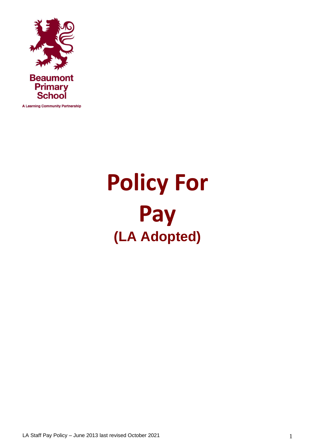

**A Learning Community Partnership** 

# **Policy For Pay (LA Adopted)**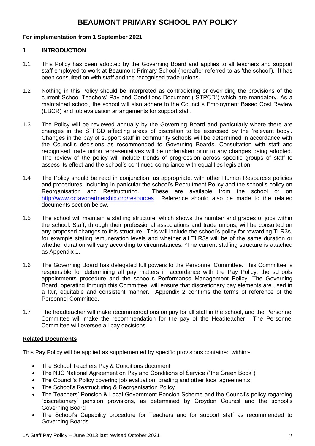# **BEAUMONT PRIMARY SCHOOL PAY POLICY**

## **For implementation from 1 September 2021**

## **1 INTRODUCTION**

- 1.1 This Policy has been adopted by the Governing Board and applies to all teachers and support staff employed to work at Beaumont Primary School (hereafter referred to as 'the school'). It has been consulted on with staff and the recognised trade unions.
- 1.2 Nothing in this Policy should be interpreted as contradicting or overriding the provisions of the current School Teachers' Pay and Conditions Document ("STPCD") which are mandatory. As a maintained school, the school will also adhere to the Council's Employment Based Cost Review (EBCR) and job evaluation arrangements for support staff.
- 1.3 The Policy will be reviewed annually by the Governing Board and particularly where there are changes in the STPCD affecting areas of discretion to be exercised by the 'relevant body'. Changes in the pay of support staff in community schools will be determined in accordance with the Council's decisions as recommended to Governing Boards. Consultation with staff and recognised trade union representatives will be undertaken prior to any changes being adopted. The review of the policy will include trends of progression across specific groups of staff to assess its effect and the school's continued compliance with equalities legislation.
- 1.4 The Policy should be read in conjunction, as appropriate, with other Human Resources policies and procedures, including in particular the school's Recruitment Policy and the school's policy on Reorganisation and Restructuring. These are available from the school or on <http://www.octavopartnership.org/resources>Reference should also be made to the related documents section below.
- 1.5 The school will maintain a staffing structure, which shows the number and grades of jobs within the school. Staff, through their professional associations and trade unions, will be consulted on any proposed changes to this structure. This will include the school's policy for rewarding TLR3s, for example stating remuneration levels and whether all TLR3s will be of the same duration or whether duration will vary according to circumstances. \*The current staffing structure is attached as Appendix 1.
- 1.6 The Governing Board has delegated full powers to the Personnel Committee. This Committee is responsible for determining all pay matters in accordance with the Pay Policy, the schools appointments procedure and the school's Performance Management Policy. The Governing Board, operating through this Committee, will ensure that discretionary pay elements are used in a fair, equitable and consistent manner. Appendix 2 confirms the terms of reference of the Personnel Committee.
- 1.7 The headteacher will make recommendations on pay for all staff in the school, and the Personnel Committee will make the recommendation for the pay of the Headteacher. The Personnel Committee will oversee all pay decisions.

## **Related Documents**

This Pay Policy will be applied as supplemented by specific provisions contained within:-

- The School Teachers Pay & Conditions document
- The NJC National Agreement on Pay and Conditions of Service ("the Green Book")
- The Council's Policy covering job evaluation, grading and other local agreements
- The School's Restructuring & Reorganisation Policy
- The Teachers' Pension & Local Government Pension Scheme and the Council's policy regarding "discretionary" pension provisions, as determined by Croydon Council and the school's Governing Board
- The School's Capability procedure for Teachers and for support staff as recommended to Governing Boards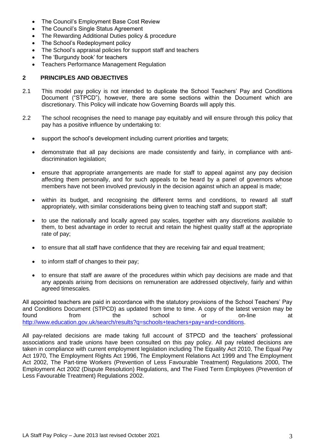- The Council's Employment Base Cost Review
- The Council's Single Status Agreement
- The Rewarding Additional Duties policy & procedure
- The School's Redeployment policy
- The School's appraisal policies for support staff and teachers
- The 'Burgundy book' for teachers
- Teachers Performance Management Regulation

## **2 PRINCIPLES AND OBJECTIVES**

- 2.1 This model pay policy is not intended to duplicate the School Teachers' Pay and Conditions Document ("STPCD"), however, there are some sections within the Document which are discretionary. This Policy will indicate how Governing Boards will apply this.
- 2.2 The school recognises the need to manage pay equitably and will ensure through this policy that pay has a positive influence by undertaking to:
	- support the school's development including current priorities and targets;
	- demonstrate that all pay decisions are made consistently and fairly, in compliance with antidiscrimination legislation;
	- ensure that appropriate arrangements are made for staff to appeal against any pay decision affecting them personally, and for such appeals to be heard by a panel of governors whose members have not been involved previously in the decision against which an appeal is made;
	- within its budget, and recognising the different terms and conditions, to reward all staff appropriately, with similar considerations being given to teaching staff and support staff;
	- to use the nationally and locally agreed pay scales, together with any discretions available to them, to best advantage in order to recruit and retain the highest quality staff at the appropriate rate of pay;
	- to ensure that all staff have confidence that they are receiving fair and equal treatment;
	- to inform staff of changes to their pay;
	- to ensure that staff are aware of the procedures within which pay decisions are made and that any appeals arising from decisions on remuneration are addressed objectively, fairly and within agreed timescales.

All appointed teachers are paid in accordance with the statutory provisions of the School Teachers' Pay and Conditions Document (STPCD) as updated from time to time. A copy of the latest version may be found from the school or on-line at [http://www.education.gov.uk/search/results?q=schools+teachers+pay+and+conditions.](http://www.education.gov.uk/search/results?q=schools+teachers+pay+and+conditions)

All pay-related decisions are made taking full account of STPCD and the teachers' professional associations and trade unions have been consulted on this pay policy. All pay related decisions are taken in compliance with current employment legislation including The Equality Act 2010, The Equal Pay Act 1970, The Employment Rights Act 1996, The Employment Relations Act 1999 and The Employment Act 2002, The Part-time Workers (Prevention of Less Favourable Treatment) Regulations 2000, The Employment Act 2002 (Dispute Resolution) Regulations, and The Fixed Term Employees (Prevention of Less Favourable Treatment) Regulations 2002.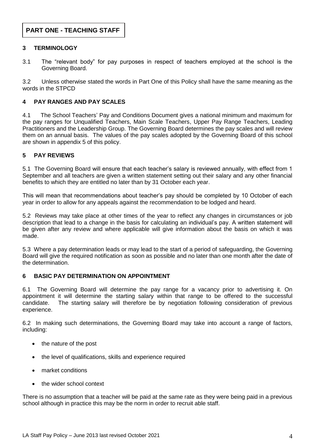## **3 TERMINOLOGY**

3.1 The "relevant body" for pay purposes in respect of teachers employed at the school is the Governing Board.

3.2 Unless otherwise stated the words in Part One of this Policy shall have the same meaning as the words in the STPCD

## **4 PAY RANGES AND PAY SCALES**

4.1 The School Teachers' Pay and Conditions Document gives a national minimum and maximum for the pay ranges for Unqualified Teachers, Main Scale Teachers, Upper Pay Range Teachers, Leading Practitioners and the Leadership Group. The Governing Board determines the pay scales and will review them on an annual basis. The values of the pay scales adopted by the Governing Board of this school are shown in appendix 5 of this policy.

## **5 PAY REVIEWS**

5.1 The Governing Board will ensure that each teacher's salary is reviewed annually, with effect from 1 September and all teachers are given a written statement setting out their salary and any other financial benefits to which they are entitled no later than by 31 October each year.

This will mean that recommendations about teacher's pay should be completed by 10 October of each year in order to allow for any appeals against the recommendation to be lodged and heard.

5.2 Reviews may take place at other times of the year to reflect any changes in circumstances or job description that lead to a change in the basis for calculating an individual's pay. A written statement will be given after any review and where applicable will give information about the basis on which it was made.

5.3 Where a pay determination leads or may lead to the start of a period of safeguarding, the Governing Board will give the required notification as soon as possible and no later than one month after the date of the determination.

## **6 BASIC PAY DETERMINATION ON APPOINTMENT**

6.1 The Governing Board will determine the pay range for a vacancy prior to advertising it. On appointment it will determine the starting salary within that range to be offered to the successful candidate. The starting salary will therefore be by negotiation following consideration of previous experience.

6.2 In making such determinations, the Governing Board may take into account a range of factors, including:

- the nature of the post
- the level of qualifications, skills and experience required
- market conditions
- the wider school context

There is no assumption that a teacher will be paid at the same rate as they were being paid in a previous school although in practice this may be the norm in order to recruit able staff.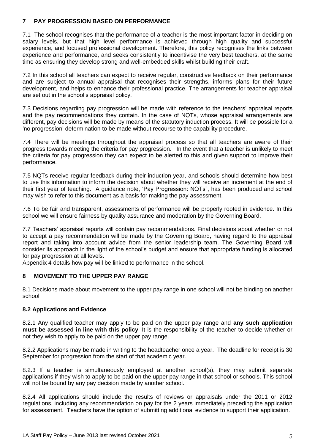## **7 PAY PROGRESSION BASED ON PERFORMANCE**

7.1 The school recognises that the performance of a teacher is the most important factor in deciding on salary levels, but that high level performance is achieved through high quality and successful experience, and focused professional development. Therefore, this policy recognises the links between experience and performance, and seeks consistently to incentivise the very best teachers, at the same time as ensuring they develop strong and well-embedded skills whilst building their craft.

7.2 In this school all teachers can expect to receive regular, constructive feedback on their performance and are subject to annual appraisal that recognises their strengths, informs plans for their future development, and helps to enhance their professional practice. The arrangements for teacher appraisal are set out in the school's appraisal policy.

7.3 Decisions regarding pay progression will be made with reference to the teachers' appraisal reports and the pay recommendations they contain. In the case of NQTs, whose appraisal arrangements are different, pay decisions will be made by means of the statutory induction process. It will be possible for a 'no progression' determination to be made without recourse to the capability procedure.

7.4 There will be meetings throughout the appraisal process so that all teachers are aware of their progress towards meeting the criteria for pay progression. In the event that a teacher is unlikely to meet the criteria for pay progression they can expect to be alerted to this and given support to improve their performance.

7.5 NQTs receive regular feedback during their induction year, and schools should determine how best to use this information to inform the decision about whether they will receive an increment at the end of their first year of teaching. A guidance note, 'Pay Progression: NQTs", has been produced and school may wish to refer to this document as a basis for making the pay assessment.

7.6 To be fair and transparent, assessments of performance will be properly rooted in evidence. In this school we will ensure fairness by quality assurance and moderation by the Governing Board.

7.7 Teachers' appraisal reports will contain pay recommendations. Final decisions about whether or not to accept a pay recommendation will be made by the Governing Board, having regard to the appraisal report and taking into account advice from the senior leadership team. The Governing Board will consider its approach in the light of the school's budget and ensure that appropriate funding is allocated for pay progression at all levels.

Appendix 4 details how pay will be linked to performance in the school.

## **8 MOVEMENT TO THE UPPER PAY RANGE**

8.1 Decisions made about movement to the upper pay range in one school will not be binding on another school

## **8.2 Applications and Evidence**

8.2.1 Any qualified teacher may apply to be paid on the upper pay range and **any such application must be assessed in line with this policy**. It is the responsibility of the teacher to decide whether or not they wish to apply to be paid on the upper pay range.

8.2.2 Applications may be made in writing to the headteacher once a year. The deadline for receipt is 30 September for progression from the start of that academic year.

8.2.3 If a teacher is simultaneously employed at another school(s), they may submit separate applications if they wish to apply to be paid on the upper pay range in that school or schools. This school will not be bound by any pay decision made by another school.

8.2.4 All applications should include the results of reviews or appraisals under the 2011 or 2012 regulations, including any recommendation on pay for the 2 years immediately preceding the application for assessment. Teachers have the option of submitting additional evidence to support their application.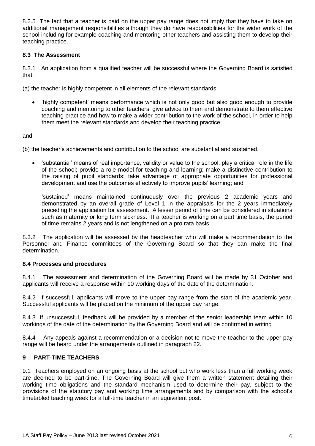8.2.5 The fact that a teacher is paid on the upper pay range does not imply that they have to take on additional management responsibilities although they do have responsibilities for the wider work of the school including for example coaching and mentoring other teachers and assisting them to develop their teaching practice.

## **8.3 The Assessment**

8.3.1 An application from a qualified teacher will be successful where the Governing Board is satisfied that:

(a) the teacher is highly competent in all elements of the relevant standards;

 'highly competent' means performance which is not only good but also good enough to provide coaching and mentoring to other teachers, give advice to them and demonstrate to them effective teaching practice and how to make a wider contribution to the work of the school, in order to help them meet the relevant standards and develop their teaching practice.

and

(b) the teacher's achievements and contribution to the school are substantial and sustained.

 'substantial' means of real importance, validity or value to the school; play a critical role in the life of the school; provide a role model for teaching and learning; make a distinctive contribution to the raising of pupil standards; take advantage of appropriate opportunities for professional development and use the outcomes effectively to improve pupils' learning; and

 'sustained' means maintained continuously over the previous 2 academic years and demonstrated by an overall grade of Level 1 in the appraisals for the 2 years immediately preceding the application for assessment. A lesser period of time can be considered in situations such as maternity or long term sickness. If a teacher is working on a part time basis, the period of time remains 2 years and is not lengthened on a pro rata basis.

8.3.2 The application will be assessed by the headteacher who will make a recommendation to the Personnel and Finance committees of the Governing Board so that they can make the final determination.

## **8.4 Processes and procedures**

8.4.1 The assessment and determination of the Governing Board will be made by 31 October and applicants will receive a response within 10 working days of the date of the determination.

8.4.2 If successful, applicants will move to the upper pay range from the start of the academic year. Successful applicants will be placed on the minimum of the upper pay range.

8.4.3 If unsuccessful, feedback will be provided by a member of the senior leadership team within 10 workings of the date of the determination by the Governing Board and will be confirmed in writing

8.4.4 Any appeals against a recommendation or a decision not to move the teacher to the upper pay range will be heard under the arrangements outlined in paragraph 22.

## **9 PART-TIME TEACHERS**

9.1 Teachers employed on an ongoing basis at the school but who work less than a full working week are deemed to be part-time. The Governing Board will give them a written statement detailing their working time obligations and the standard mechanism used to determine their pay, subject to the provisions of the statutory pay and working time arrangements and by comparison with the school's timetabled teaching week for a full-time teacher in an equivalent post.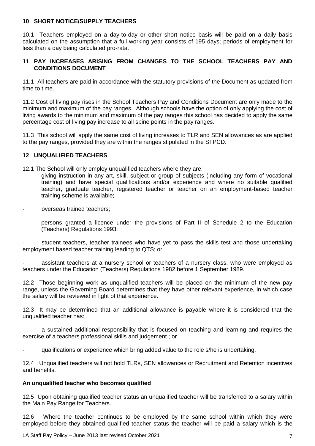## **10 SHORT NOTICE/SUPPLY TEACHERS**

10.1 Teachers employed on a day-to-day or other short notice basis will be paid on a daily basis calculated on the assumption that a full working year consists of 195 days; periods of employment for less than a day being calculated pro-rata.

## **11 PAY INCREASES ARISING FROM CHANGES TO THE SCHOOL TEACHERS PAY AND CONDITIONS DOCUMENT**

11.1 All teachers are paid in accordance with the statutory provisions of the Document as updated from time to time.

11.2 Cost of living pay rises in the School Teachers Pay and Conditions Document are only made to the minimum and maximum of the pay ranges. Although schools have the option of only applying the cost of living awards to the minimum and maximum of the pay ranges this school has decided to apply the same percentage cost of living pay increase to all spine points in the pay ranges.

11.3 This school will apply the same cost of living increases to TLR and SEN allowances as are applied to the pay ranges, provided they are within the ranges stipulated in the STPCD.

## **12 UNQUALIFIED TEACHERS**

12.1 The School will only employ unqualified teachers where they are:

- giving instruction in any art, skill, subject or group of subjects (including any form of vocational training) and have special qualifications and/or experience and where no suitable qualified teacher, graduate teacher, registered teacher or teacher on an employment-based teacher training scheme is available;
- overseas trained teachers;
- persons granted a licence under the provisions of Part II of Schedule 2 to the Education (Teachers) Regulations 1993;

student teachers, teacher trainees who have yet to pass the skills test and those undertaking employment based teacher training leading to QTS; or

- assistant teachers at a nursery school or teachers of a nursery class, who were employed as teachers under the Education (Teachers) Regulations 1982 before 1 September 1989.

12.2 Those beginning work as unqualified teachers will be placed on the minimum of the new pay range, unless the Governing Board determines that they have other relevant experience, in which case the salary will be reviewed in light of that experience.

12.3 It may be determined that an additional allowance is payable where it is considered that the unqualified teacher has:

a sustained additional responsibility that is focused on teaching and learning and requires the exercise of a teachers professional skills and judgement ; or

qualifications or experience which bring added value to the role s/he is undertaking.

12.4 Unqualified teachers will not hold TLRs, SEN allowances or Recruitment and Retention incentives and benefits.

#### **An unqualified teacher who becomes qualified**

12.5 Upon obtaining qualified teacher status an unqualified teacher will be transferred to a salary within the Main Pay Range for Teachers.

12.6 Where the teacher continues to be employed by the same school within which they were employed before they obtained qualified teacher status the teacher will be paid a salary which is the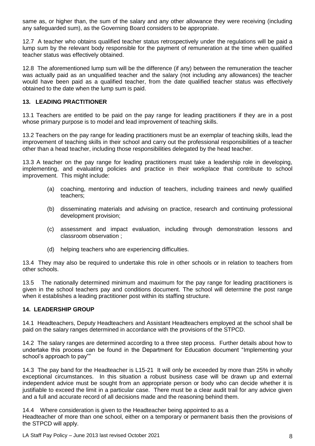same as, or higher than, the sum of the salary and any other allowance they were receiving (including any safeguarded sum), as the Governing Board considers to be appropriate.

12.7 A teacher who obtains qualified teacher status retrospectively under the regulations will be paid a lump sum by the relevant body responsible for the payment of remuneration at the time when qualified teacher status was effectively obtained.

12.8 The aforementioned lump sum will be the difference (if any) between the remuneration the teacher was actually paid as an unqualified teacher and the salary (not including any allowances) the teacher would have been paid as a qualified teacher, from the date qualified teacher status was effectively obtained to the date when the lump sum is paid.

## **13. LEADING PRACTITIONER**

13.1 Teachers are entitled to be paid on the pay range for leading practitioners if they are in a post whose primary purpose is to model and lead improvement of teaching skills.

13.2 Teachers on the pay range for leading practitioners must be an exemplar of teaching skills, lead the improvement of teaching skills in their school and carry out the professional responsibilities of a teacher other than a head teacher, including those responsibilities delegated by the head teacher.

13.3 A teacher on the pay range for leading practitioners must take a leadership role in developing, implementing, and evaluating policies and practice in their workplace that contribute to school improvement. This might include:

- (a) coaching, mentoring and induction of teachers, including trainees and newly qualified teachers;
- (b) disseminating materials and advising on practice, research and continuing professional development provision;
- (c) assessment and impact evaluation, including through demonstration lessons and classroom observation ;
- (d) helping teachers who are experiencing difficulties.

13.4 They may also be required to undertake this role in other schools or in relation to teachers from other schools.

13.5 – The nationally determined minimum and maximum for the pay range for leading practitioners is given in the school teachers pay and conditions document. The school will determine the post range when it establishes a leading practitioner post within its staffing structure.

## **14. LEADERSHIP GROUP**

14.1 Headteachers, Deputy Headteachers and Assistant Headteachers employed at the school shall be paid on the salary ranges determined in accordance with the provisions of the STPCD.

14.2 The salary ranges are determined according to a three step process. Further details about how to undertake this process can be found in the Department for Education document "Implementing your school's approach to pay""

14.3 The pay band for the Headteacher is L15-21 It will only be exceeded by more than 25% in wholly exceptional circumstances. In this situation a robust business case will be drawn up and external independent advice must be sought from an appropriate person or body who can decide whether it is justifiable to exceed the limit in a particular case. There must be a clear audit trail for any advice given and a full and accurate record of all decisions made and the reasoning behind them.

14.4 Where consideration is given to the Headteacher being appointed to as a Headteacher of more than one school, either on a temporary or permanent basis then the provisions of the STPCD will apply.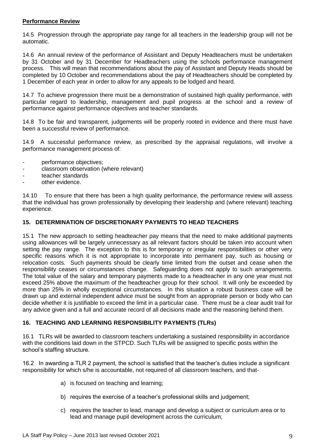## **Performance Review**

14.5 Progression through the appropriate pay range for all teachers in the leadership group will not be automatic.

14.6 An annual review of the performance of Assistant and Deputy Headteachers must be undertaken by 31 October and by 31 December for Headteachers using the schools performance management process. This will mean that recommendations about the pay of Assistant and Deputy Heads should be completed by 10 October and recommendations about the pay of Headteachers should be completed by 1 December of each year in order to allow for any appeals to be lodged and heard.

14.7 To achieve progression there must be a demonstration of sustained high quality performance, with particular regard to leadership, management and pupil progress at the school and a review of performance against performance objectives and teacher standards.

14.8 To be fair and transparent, judgements will be properly rooted in evidence and there must have been a successful review of performance.

14.9 A successful performance review, as prescribed by the appraisal regulations, will involve a performance management process of:

- performance objectives;
- classroom observation (where relevant)
- teacher standards
- other evidence.

14.10 To ensure that there has been a high quality performance, the performance review will assess that the individual has grown professionally by developing their leadership and (where relevant) teaching experience.

## **15. DETERMINATION OF DISCRETIONARY PAYMENTS TO HEAD TEACHERS**

15.1 The new approach to setting headteacher pay means that the need to make additional payments using allowances will be largely unnecessary as all relevant factors should be taken into account when setting the pay range. The exception to this is for temporary or irregular responsibilities or other very specific reasons which it is not appropriate to incorporate into permanent pay, such as housing or relocation costs. Such payments should be clearly time limited from the outset and cease when the responsibility ceases or circumstances change. Safeguarding does not apply to such arrangements. The total value of the salary and temporary payments made to a headteacher in any one year must not exceed 25% above the maximum of the headteacher group for their school. It will only be exceeded by more than 25% in wholly exceptional circumstances. In this situation a robust business case will be drawn up and external independent advice must be sought from an appropriate person or body who can decide whether it is justifiable to exceed the limit in a particular case. There must be a clear audit trail for any advice given and a full and accurate record of all decisions made and the reasoning behind them.

## **16. TEACHING AND LEARNING RESPONSIBILITY PAYMENTS (TLRs)**

16.1 TLRs will be awarded to classroom teachers undertaking a sustained responsibility in accordance with the conditions laid down in the STPCD. Such TLRs will be assigned to specific posts within the school's staffing structure.

16.2 In awarding a TLR 2 payment, the school is satisfied that the teacher's duties include a significant responsibility for which s/he is accountable, not required of all classroom teachers, and that-

- a) is focused on teaching and learning;
- b) requires the exercise of a teacher's professional skills and judgement;
- c) requires the teacher to lead, manage and develop a subject or curriculum area or to lead and manage pupil development across the curriculum;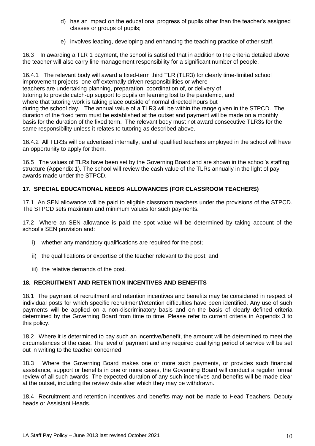- d) has an impact on the educational progress of pupils other than the teacher's assigned classes or groups of pupils;
- e) involves leading, developing and enhancing the teaching practice of other staff.

In awarding a TLR 1 payment, the school is satisfied that in addition to the criteria detailed above the teacher will also carry line management responsibility for a significant number of people.

16.4.1 The relevant body will award a fixed-term third TLR (TLR3) for clearly time-limited school improvement projects, one-off externally driven responsibilities or where teachers are undertaking planning, preparation, coordination of, or delivery of tutoring to provide catch-up support to pupils on learning lost to the pandemic, and where that tutoring work is taking place outside of normal directed hours but during the school day. The annual value of a TLR3 will be within the range given in the STPCD. The duration of the fixed term must be established at the outset and payment will be made on a monthly basis for the duration of the fixed term. The relevant body must not award consecutive TLR3s for the same responsibility unless it relates to tutoring as described above.

16.4.2 All TLR3s will be advertised internally, and all qualified teachers employed in the school will have an opportunity to apply for them.

16.5 The values of TLRs have been set by the Governing Board and are shown in the school's staffing structure (Appendix 1). The school will review the cash value of the TLRs annually in the light of pay awards made under the STPCD.

## **17. SPECIAL EDUCATIONAL NEEDS ALLOWANCES (FOR CLASSROOM TEACHERS)**

17.1 An SEN allowance will be paid to eligible classroom teachers under the provisions of the STPCD. The STPCD sets maximum and minimum values for such payments.

17.2 Where an SEN allowance is paid the spot value will be determined by taking account of the school's SEN provision and:

- i) whether any mandatory qualifications are required for the post;
- ii) the qualifications or expertise of the teacher relevant to the post; and
- iii) the relative demands of the post.

## **18. RECRUITMENT AND RETENTION INCENTIVES AND BENEFITS**

18.1 The payment of recruitment and retention incentives and benefits may be considered in respect of individual posts for which specific recruitment/retention difficulties have been identified. Any use of such payments will be applied on a non-discriminatory basis and on the basis of clearly defined criteria determined by the Governing Board from time to time. Please refer to current criteria in Appendix 3 to this policy.

18.2 Where it is determined to pay such an incentive/benefit, the amount will be determined to meet the circumstances of the case. The level of payment and any required qualifying period of service will be set out in writing to the teacher concerned.

18.3 Where the Governing Board makes one or more such payments, or provides such financial assistance, support or benefits in one or more cases, the Governing Board will conduct a regular formal review of all such awards. The expected duration of any such incentives and benefits will be made clear at the outset, including the review date after which they may be withdrawn.

18.4 Recruitment and retention incentives and benefits may **not** be made to Head Teachers, Deputy heads or Assistant Heads.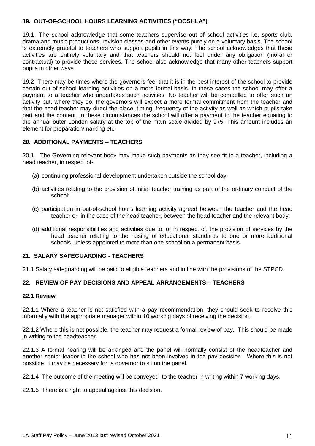## **19. OUT-OF-SCHOOL HOURS LEARNING ACTIVITIES ("OOSHLA")**

19.1 The school acknowledge that some teachers supervise out of school activities i.e. sports club, drama and music productions, revision classes and other events purely on a voluntary basis. The school is extremely grateful to teachers who support pupils in this way. The school acknowledges that these activities are entirely voluntary and that teachers should not feel under any obligation (moral or contractual) to provide these services. The school also acknowledge that many other teachers support pupils in other ways.

19.2 There may be times where the governors feel that it is in the best interest of the school to provide certain out of school learning activities on a more formal basis. In these cases the school may offer a payment to a teacher who undertakes such activities. No teacher will be compelled to offer such an activity but, where they do, the governors will expect a more formal commitment from the teacher and that the head teacher may direct the place, timing, frequency of the activity as well as which pupils take part and the content. In these circumstances the school will offer a payment to the teacher equating to the annual outer London salary at the top of the main scale divided by 975. This amount includes an element for preparation/marking etc.

## **20. ADDITIONAL PAYMENTS – TEACHERS**

20.1 The Governing relevant body may make such payments as they see fit to a teacher, including a head teacher, in respect of-

- (a) continuing professional development undertaken outside the school day;
- (b) activities relating to the provision of initial teacher training as part of the ordinary conduct of the school;
- (c) participation in out-of-school hours learning activity agreed between the teacher and the head teacher or, in the case of the head teacher, between the head teacher and the relevant body;
- (d) additional responsibilities and activities due to, or in respect of, the provision of services by the head teacher relating to the raising of educational standards to one or more additional schools, unless appointed to more than one school on a permanent basis.

## **21. SALARY SAFEGUARDING - TEACHERS**

21.1 Salary safeguarding will be paid to eligible teachers and in line with the provisions of the STPCD.

## **22. REVIEW OF PAY DECISIONS AND APPEAL ARRANGEMENTS – TEACHERS**

## **22.1 Review**

22.1.1 Where a teacher is not satisfied with a pay recommendation, they should seek to resolve this informally with the appropriate manager within 10 working days of receiving the decision.

22.1.2 Where this is not possible, the teacher may request a formal review of pay. This should be made in writing to the headteacher.

22.1.3 A formal hearing will be arranged and the panel will normally consist of the headteacher and another senior leader in the school who has not been involved in the pay decision. Where this is not possible, it may be necessary for a governor to sit on the panel.

22.1.4 The outcome of the meeting will be conveyed to the teacher in writing within 7 working days.

22.1.5 There is a right to appeal against this decision.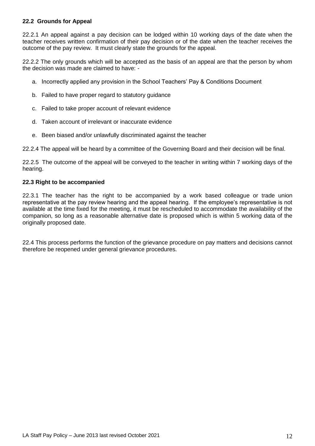## **22.2 Grounds for Appeal**

22.2.1 An appeal against a pay decision can be lodged within 10 working days of the date when the teacher receives written confirmation of their pay decision or of the date when the teacher receives the outcome of the pay review. It must clearly state the grounds for the appeal.

22.2.2 The only grounds which will be accepted as the basis of an appeal are that the person by whom the decision was made are claimed to have: -

- a. Incorrectly applied any provision in the School Teachers' Pay & Conditions Document
- b. Failed to have proper regard to statutory guidance
- c. Failed to take proper account of relevant evidence
- d. Taken account of irrelevant or inaccurate evidence
- e. Been biased and/or unlawfully discriminated against the teacher

22.2.4 The appeal will be heard by a committee of the Governing Board and their decision will be final.

22.2.5 The outcome of the appeal will be conveyed to the teacher in writing within 7 working days of the hearing.

#### **22.3 Right to be accompanied**

22.3.1 The teacher has the right to be accompanied by a work based colleague or trade union representative at the pay review hearing and the appeal hearing. If the employee's representative is not available at the time fixed for the meeting, it must be rescheduled to accommodate the availability of the companion, so long as a reasonable alternative date is proposed which is within 5 working data of the originally proposed date.

22.4 This process performs the function of the grievance procedure on pay matters and decisions cannot therefore be reopened under general grievance procedures.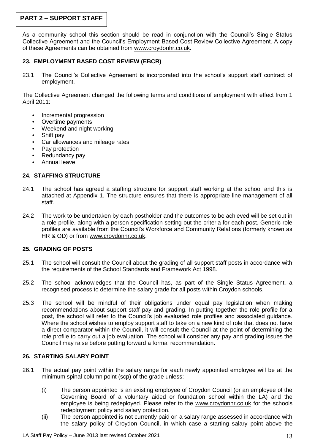# **PART 2 – SUPPORT STAFF**

As a community school this section should be read in conjunction with the Council's Single Status Collective Agreement and the Council's Employment Based Cost Review Collective Agreement. A copy of these Agreements can be obtained from [www.croydonhr.co.uk.](http://www.croydonhr.co.uk/)

## **23. EMPLOYMENT BASED COST REVIEW (EBCR)**

23.1 The Council's Collective Agreement is incorporated into the school's support staff contract of employment.

The Collective Agreement changed the following terms and conditions of employment with effect from 1 April 2011:

- Incremental progression
- Overtime payments
- Weekend and night working
- Shift pay
- Car allowances and mileage rates
- Pay protection
- Redundancy pay
- Annual leave

## **24. STAFFING STRUCTURE**

- 24.1 The school has agreed a staffing structure for support staff working at the school and this is attached at Appendix 1. The structure ensures that there is appropriate line management of all staff.
- 24.2 The work to be undertaken by each postholder and the outcomes to be achieved will be set out in a role profile, along with a person specification setting out the criteria for each post. Generic role profiles are available from the Council's Workforce and Community Relations (formerly known as HR & OD) or from [www.croydonhr.co.uk.](http://www.croydonhr.co.uk/)

## **25. GRADING OF POSTS**

- 25.1 The school will consult the Council about the grading of all support staff posts in accordance with the requirements of the School Standards and Framework Act 1998.
- 25.2 The school acknowledges that the Council has, as part of the Single Status Agreement, a recognised process to determine the salary grade for all posts within Croydon schools.
- 25.3 The school will be mindful of their obligations under equal pay legislation when making recommendations about support staff pay and grading. In putting together the role profile for a post, the school will refer to the Council's job evaluated role profiles and associated guidance. Where the school wishes to employ support staff to take on a new kind of role that does not have a direct comparator within the Council, it will consult the Council at the point of determining the role profile to carry out a job evaluation. The school will consider any pay and grading issues the Council may raise before putting forward a formal recommendation.

## **26. STARTING SALARY POINT**

- 26.1 The actual pay point within the salary range for each newly appointed employee will be at the minimum spinal column point (scp) of the grade unless:
	- (i) The person appointed is an existing employee of Croydon Council (or an employee of the Governing Board of a voluntary aided or foundation school within the LA) and the employee is being redeployed. Please refer to the [www.croydonhr.co.uk](http://www.croydonhr.co.uk/) for the schools redeployment policy and salary protection.
	- (ii) The person appointed is not currently paid on a salary range assessed in accordance with the salary policy of Croydon Council, in which case a starting salary point above the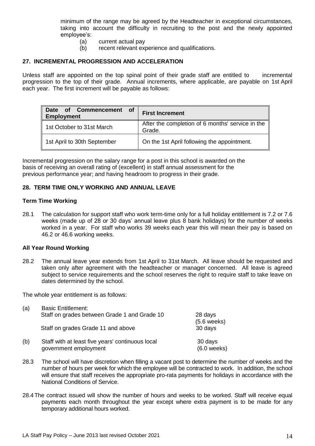minimum of the range may be agreed by the Headteacher in exceptional circumstances, taking into account the difficulty in recruiting to the post and the newly appointed employee's:

- 
- (a) current actual pay<br>(b) recent relevant exp recent relevant experience and qualifications.

#### **27. INCREMENTAL PROGRESSION AND ACCELERATION**

Unless staff are appointed on the top spinal point of their grade staff are entitled to incremental progression to the top of their grade. Annual increments, where applicable, are payable on 1st April each year. The first increment will be payable as follows:

| Commencement of<br>of<br><b>Date</b><br><b>Employment</b> | <b>First Increment</b>                                     |
|-----------------------------------------------------------|------------------------------------------------------------|
| 1st October to 31st March                                 | After the completion of 6 months' service in the<br>Grade. |
| 1st April to 30th September                               | On the 1st April following the appointment.                |

Incremental progression on the salary range for a post in this school is awarded on the basis of receiving an overall rating of (excellent) in staff annual assessment for the previous performance year; and having headroom to progress in their grade.

#### **28. TERM TIME ONLY WORKING AND ANNUAL LEAVE**

#### **Term Time Working**

28.1 The calculation for support staff who work term-time only for a full holiday entitlement is 7.2 or 7.6 weeks (made up of 28 or 30 days' annual leave plus 8 bank holidays) for the number of weeks worked in a year. For staff who works 39 weeks each year this will mean their pay is based on 46.2 or 46.6 working weeks.

#### **All Year Round Working**

28.2 The annual leave year extends from 1st April to 31st March. All leave should be requested and taken only after agreement with the headteacher or manager concerned. All leave is agreed subject to service requirements and the school reserves the right to require staff to take leave on dates determined by the school.

The whole year entitlement is as follows:

| (a) | <b>Basic Entitlement:</b>                                                 |                                  |
|-----|---------------------------------------------------------------------------|----------------------------------|
|     | Staff on grades between Grade 1 and Grade 10                              | 28 days<br>$(5.6 \text{ weeks})$ |
|     | Staff on grades Grade 11 and above                                        | 30 days                          |
| (b) | Staff with at least five years' continuous local<br>government employment | 30 days<br>$(6.0$ weeks)         |

- 28.3 The school will have discretion when filling a vacant post to determine the number of weeks and the number of hours per week for which the employee will be contracted to work. In addition, the school will ensure that staff receives the appropriate pro-rata payments for holidays in accordance with the National Conditions of Service.
- 28.4The contract issued will show the number of hours and weeks to be worked. Staff will receive equal payments each month throughout the year except where extra payment is to be made for any temporary additional hours worked.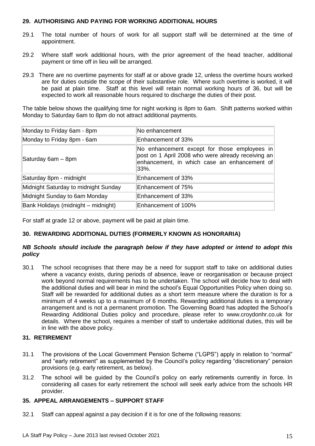## **29. AUTHORISING AND PAYING FOR WORKING ADDITIONAL HOURS**

- 29.1 The total number of hours of work for all support staff will be determined at the time of appointment.
- 29.2 Where staff work additional hours, with the prior agreement of the head teacher, additional payment or time off in lieu will be arranged.
- 29.3 There are no overtime payments for staff at or above grade 12, unless the overtime hours worked are for duties outside the scope of their substantive role. Where such overtime is worked, it will be paid at plain time. Staff at this level will retain normal working hours of 36, but will be expected to work all reasonable hours required to discharge the duties of their post.

The table below shows the qualifying time for night working is 8pm to 6am. Shift patterns worked within Monday to Saturday 6am to 8pm do not attract additional payments.

| No enhancement                                                                                                                                             |
|------------------------------------------------------------------------------------------------------------------------------------------------------------|
| Enhancement of 33%                                                                                                                                         |
| No enhancement except for those employees in<br>post on 1 April 2008 who were already receiving an<br>enhancement, in which case an enhancement of<br>33%. |
| Enhancement of 33%                                                                                                                                         |
| Enhancement of 75%                                                                                                                                         |
| Enhancement of 33%                                                                                                                                         |
| Enhancement of 100%                                                                                                                                        |
|                                                                                                                                                            |

For staff at grade 12 or above, payment will be paid at plain time.

## **30. REWARDING ADDITIONAL DUTIES (FORMERLY KNOWN AS HONORARIA)**

## *NB Schools should include the paragraph below if they have adopted or intend to adopt this policy*

30.1 The school recognises that there may be a need for support staff to take on additional duties where a vacancy exists, during periods of absence, leave or reorganisation or because project work beyond normal requirements has to be undertaken. The school will decide how to deal with the additional duties and will bear in mind the school's Equal Opportunities Policy when doing so. Staff will be rewarded for additional duties as a short term measure where the duration is for a minimum of 4 weeks up to a maximum of 6 months. Rewarding additional duties is a temporary arrangement and is not a permanent promotion. The Governing Board has adopted the School's Rewarding Additional Duties policy and procedure, please refer to [www.croydonhr.co.uk](http://www.croydonhr.co.uk/) for details. Where the school, requires a member of staff to undertake additional duties, this will be in line with the above policy.

## **31. RETIREMENT**

- 31.1 The provisions of the Local Government Pension Scheme ("LGPS") apply in relation to "normal" and "early retirement" as supplemented by the Council's policy regarding "discretionary" pension provisions (e.g. early retirement, as below).
- 31.2 The school will be guided by the Council's policy on early retirements currently in force. In considering all cases for early retirement the school will seek early advice from the schools HR provider.

## **35. APPEAL ARRANGEMENTS – SUPPORT STAFF**

32.1 Staff can appeal against a pay decision if it is for one of the following reasons: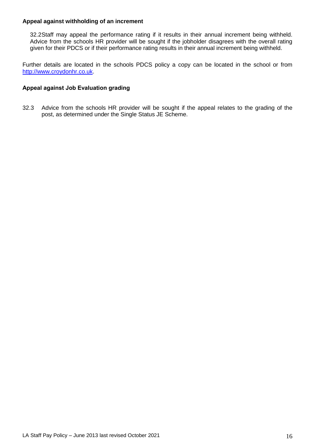#### **Appeal against withholding of an increment**

32.2Staff may appeal the performance rating if it results in their annual increment being withheld. Advice from the schools HR provider will be sought if the jobholder disagrees with the overall rating given for their PDCS or if their performance rating results in their annual increment being withheld.

Further details are located in the schools PDCS policy a copy can be located in the school or from [http://www.croydonhr.co.uk.](http://www.croydonhr.co.uk/)

#### **Appeal against Job Evaluation grading**

32.3 Advice from the schools HR provider will be sought if the appeal relates to the grading of the post, as determined under the Single Status JE Scheme.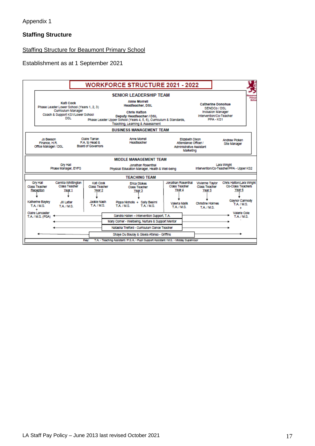## **Staffing Structure**

## Staffing Structure for Beaumont Primary School

#### Establishment as at 1 September 2021

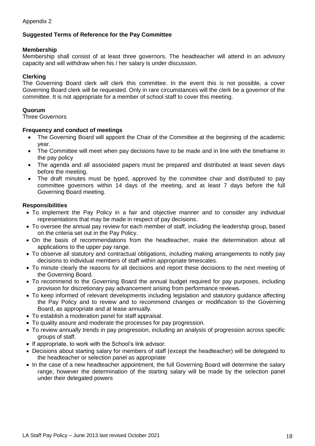## **Suggested Terms of Reference for the Pay Committee**

## **Membership**

Membership shall consist of at least three governors. The headteacher will attend in an advisory capacity and will withdraw when his / her salary is under discussion.

## **Clerking**

The Governing Board clerk will clerk this committee. In the event this is not possible, a cover Governing Board clerk will be requested. Only in rare circumstances will the clerk be a governor of the committee. It is not appropriate for a member of school staff to cover this meeting.

## **Quorum**

Three Governors

## **Frequency and conduct of meetings**

- The Governing Board will appoint the Chair of the Committee at the beginning of the academic year.
- The Committee will meet when pay decisions have to be made and in line with the timeframe in the pay policy
- The agenda and all associated papers must be prepared and distributed at least seven days before the meeting.
- The draft minutes must be typed, approved by the committee chair and distributed to pay committee governors within 14 days of the meeting, and at least 7 days before the full Governing Board meeting.

## **Responsibilities**

- To implement the Pay Policy in a fair and objective manner and to consider any individual representations that may be made in respect of pay decisions.
- To oversee the annual pay review for each member of staff, including the leadership group, based on the criteria set out in the Pay Policy.
- On the basis of recommendations from the headteacher, make the determination about all applications to the upper pay range.
- To observe all statutory and contractual obligations, including making arrangements to notify pay decisions to individual members of staff within appropriate timescales.
- To minute clearly the reasons for all decisions and report these decisions to the next meeting of the Governing Board.
- To recommend to the Governing Board the annual budget required for pay purposes, including provision for discretionary pay advancement arising from performance reviews.
- To keep informed of relevant developments including legislation and statutory guidance affecting the Pay Policy and to review and to recommend changes or modification to the Governing Board, as appropriate and at lease annually.
- To establish a moderation panel for staff appraisal.
- To quality assure and moderate the processes for pay progression.
- To review annually trends in pay progression, including an analysis of progression across specific groups of staff.
- If appropriate, to work with the School's link advisor.
- Decisions about starting salary for members of staff (except the headteacher) will be delegated to the headteacher or selection panel as appropriate
- In the case of a new headteacher appointment, the full Governing Board will determine the salary range, however the determination of the starting salary will be made by the selection panel under their delegated powers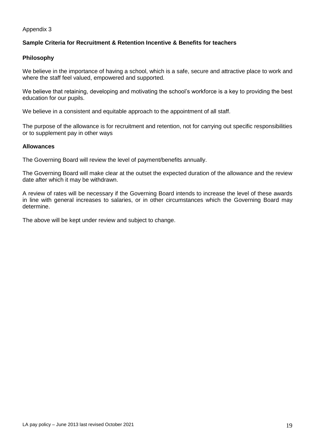Appendix 3

## **Sample Criteria for Recruitment & Retention Incentive & Benefits for teachers**

#### **Philosophy**

We believe in the importance of having a school, which is a safe, secure and attractive place to work and where the staff feel valued, empowered and supported.

We believe that retaining, developing and motivating the school's workforce is a key to providing the best education for our pupils.

We believe in a consistent and equitable approach to the appointment of all staff.

The purpose of the allowance is for recruitment and retention, not for carrying out specific responsibilities or to supplement pay in other ways

#### **Allowances**

The Governing Board will review the level of payment/benefits annually.

The Governing Board will make clear at the outset the expected duration of the allowance and the review date after which it may be withdrawn.

A review of rates will be necessary if the Governing Board intends to increase the level of these awards in line with general increases to salaries, or in other circumstances which the Governing Board may determine.

The above will be kept under review and subject to change.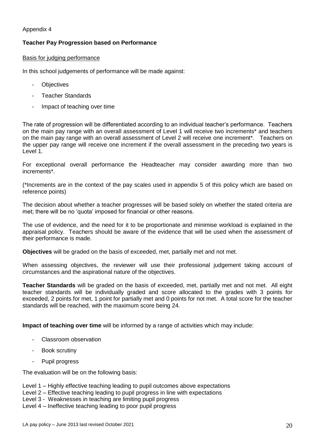## Appendix 4

## **Teacher Pay Progression based on Performance**

#### Basis for judging performance

In this school judgements of performance will be made against:

- **Objectives**
- Teacher Standards
- Impact of teaching over time

The rate of progression will be differentiated according to an individual teacher's performance. Teachers on the main pay range with an overall assessment of Level 1 will receive two increments\* and teachers on the main pay range with an overall assessment of Level 2 will receive one increment\*. Teachers on the upper pay range will receive one increment if the overall assessment in the preceding two years is Level 1.

For exceptional overall performance the Headteacher may consider awarding more than two increments\*.

(\*Increments are in the context of the pay scales used in appendix 5 of this policy which are based on reference points)

The decision about whether a teacher progresses will be based solely on whether the stated criteria are met; there will be no 'quota' imposed for financial or other reasons.

The use of evidence, and the need for it to be proportionate and minimise workload is explained in the appraisal policy. Teachers should be aware of the evidence that will be used when the assessment of their performance is made.

**Objectives** will be graded on the basis of exceeded, met, partially met and not met.

When assessing objectives, the reviewer will use their professional judgement taking account of circumstances and the aspirational nature of the objectives.

**Teacher Standards** will be graded on the basis of exceeded, met, partially met and not met. All eight teacher standards will be individually graded and score allocated to the grades with 3 points for exceeded, 2 points for met, 1 point for partially met and 0 points for not met. A total score for the teacher standards will be reached, with the maximum score being 24.

**Impact of teaching over time** will be informed by a range of activities which may include:

- Classroom observation
- Book scrutiny
- Pupil progress

The evaluation will be on the following basis:

- Level 1 Highly effective teaching leading to pupil outcomes above expectations
- Level 2 Effective teaching leading to pupil progress in line with expectations

Level 3 - Weaknesses in teaching are limiting pupil progress

Level 4 – Ineffective teaching leading to poor pupil progress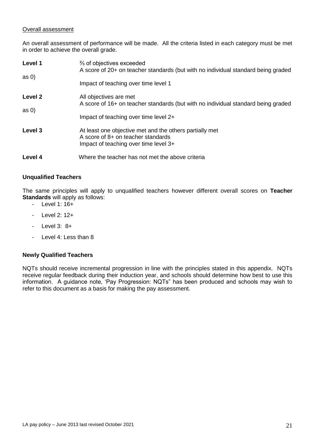## Overall assessment

An overall assessment of performance will be made. All the criteria listed in each category must be met in order to achieve the overall grade.

| Level 1<br>as <sub>0</sub>    | $\frac{2}{3}$ of objectives exceeded<br>A score of 20+ on teacher standards (but with no individual standard being graded                            |
|-------------------------------|------------------------------------------------------------------------------------------------------------------------------------------------------|
|                               | Impact of teaching over time level 1                                                                                                                 |
| Level <sub>2</sub><br>as $0)$ | All objectives are met<br>A score of 16+ on teacher standards (but with no individual standard being graded<br>Impact of teaching over time level 2+ |
| Level 3                       | At least one objective met and the others partially met<br>A score of 8+ on teacher standards<br>Impact of teaching over time level 3+               |
| Level 4                       | Where the teacher has not met the above criteria                                                                                                     |

## **Unqualified Teachers**

The same principles will apply to unqualified teachers however different overall scores on **Teacher Standards** will apply as follows:

- Level 1: 16+
- Level 2: 12+
- Level 3: 8+
- Level 4: Less than 8

## **Newly Qualified Teachers**

NQTs should receive incremental progression in line with the principles stated in this appendix. NQTs receive regular feedback during their induction year, and schools should determine how best to use this information. A guidance note, 'Pay Progression: NQTs" has been produced and schools may wish to refer to this document as a basis for making the pay assessment.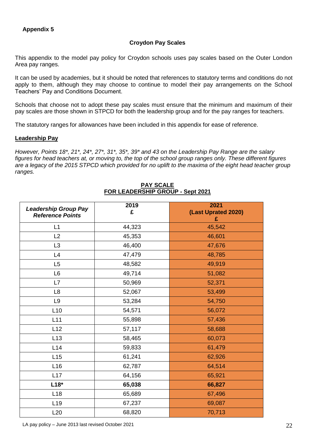## **Croydon Pay Scales**

This appendix to the model pay policy for Croydon schools uses pay scales based on the Outer London Area pay ranges.

It can be used by academies, but it should be noted that references to statutory terms and conditions do not apply to them, although they may choose to continue to model their pay arrangements on the School Teachers' Pay and Conditions Document.

Schools that choose not to adopt these pay scales must ensure that the minimum and maximum of their pay scales are those shown in STPCD for both the leadership group and for the pay ranges for teachers.

The statutory ranges for allowances have been included in this appendix for ease of reference.

#### **Leadership Pay**

*However, Points 18\*, 21\*, 24\*, 27\*, 31\*, 35\*, 39\* and 43 on the Leadership Pay Range are the salary figures for head teachers at, or moving to, the top of the school group ranges only. These different figures are a legacy of the 2015 STPCD which provided for no uplift to the maxima of the eight head teacher group ranges.* 

| <b>Leadership Group Pay</b><br><b>Reference Points</b> | 2019<br>£ | 2021<br>(Last Uprated 2020)<br>£ |
|--------------------------------------------------------|-----------|----------------------------------|
| L1                                                     | 44,323    | 45,542                           |
| L2                                                     | 45,353    | 46,601                           |
| L <sub>3</sub>                                         | 46,400    | 47,676                           |
| L4                                                     | 47,479    | 48,785                           |
| L5                                                     | 48,582    | 49,919                           |
| L <sub>6</sub>                                         | 49,714    | 51,082                           |
| L7                                                     | 50,969    | 52,371                           |
| L8                                                     | 52,067    | 53,499                           |
| L <sub>9</sub>                                         | 53,284    | 54,750                           |
| L10                                                    | 54,571    | 56,072                           |
| L11                                                    | 55,898    | 57,436                           |
| L12                                                    | 57,117    | 58,688                           |
| L13                                                    | 58,465    | 60,073                           |
| L14                                                    | 59,833    | 61,479                           |
| L15                                                    | 61,241    | 62,926                           |
| L <sub>16</sub>                                        | 62,787    | 64,514                           |
| L17                                                    | 64,156    | 65,921                           |
| $L18*$                                                 | 65,038    | 66,827                           |
| L <sub>18</sub>                                        | 65,689    | 67,496                           |
| L <sub>19</sub>                                        | 67,237    | 69,087                           |
| L20                                                    | 68,820    | 70,713                           |

#### **PAY SCALE FOR LEADERSHIP GROUP - Sept 2021**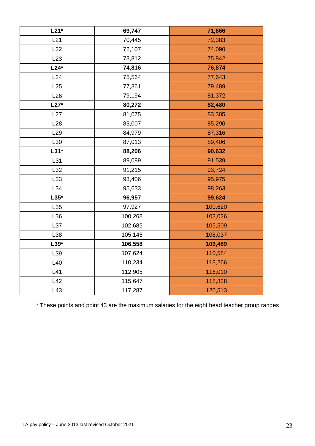| $L21*$          | 69,747  | 71,666  |
|-----------------|---------|---------|
| L21             | 70,445  | 72,383  |
| L22             | 72,107  | 74,090  |
| L23             | 73,812  | 75,842  |
| $L24*$          | 74,816  | 76,874  |
| L24             | 75,564  | 77,643  |
| L25             | 77,361  | 79,489  |
| L26             | 79,194  | 81,372  |
| $L27*$          | 80,272  | 82,480  |
| L27             | 81,075  | 83,305  |
| L28             | 83,007  | 85,290  |
| L <sub>29</sub> | 84,979  | 87,316  |
| L30             | 87,013  | 89,406  |
| $L31*$          | 88,206  | 90,632  |
| L31             | 89,089  | 91,539  |
| L32             | 91,215  | 93,724  |
| L33             | 93,406  | 95,975  |
| L34             | 95,633  | 98,263  |
| $L35*$          | 96,957  | 99,624  |
| L35             | 97,927  | 100,620 |
| L36             | 100,268 | 103,026 |
| L37             | 102,685 | 105,509 |
| L38             | 105,145 | 108,037 |
| $L39*$          | 106,558 | 109,489 |
| L39             | 107,624 | 110,584 |
| L40             | 110,234 | 113,266 |
| L41             | 112,905 | 116,010 |
| L42             | 115,647 | 118,828 |
| L43             | 117,287 | 120,513 |

\* These points and point 43 are the maximum salaries for the eight head teacher group ranges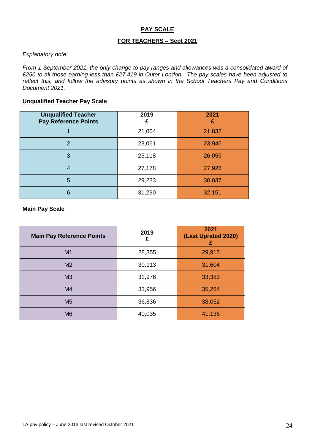## **PAY SCALE**

## **FOR TEACHERS – Sept 2021**

#### *Explanatory note:*

*From 1 September 2021, the only change to pay ranges and allowances was a consolidated award of £250 to all those earning less than £27,419 in Outer London. The pay scales have been adjusted to reflect this, and follow the advisory points as shown in the School Teachers Pay and Conditions Document 2021.*

## **Unqualified Teacher Pay Scale**

| <b>Unqualified Teacher</b><br><b>Pay Reference Points</b> | 2019   | 2021<br>£ |
|-----------------------------------------------------------|--------|-----------|
|                                                           | 21,004 | 21,832    |
| 2                                                         | 23,061 | 23,946    |
| 3                                                         | 25,118 | 26,059    |
| 4                                                         | 27,178 | 27,926    |
| 5                                                         | 29,233 | 30,037    |
| 6                                                         | 31,290 | 32,151    |

#### **Main Pay Scale**

| <b>Main Pay Reference Points</b> | 2019<br>£ | 2021<br>(Last Uprated 2020)<br>£ |
|----------------------------------|-----------|----------------------------------|
| M1                               | 28,355    | 29,915                           |
| M <sub>2</sub>                   | 30,113    | 31,604                           |
| M <sub>3</sub>                   | 31,976    | 33,383                           |
| M4                               | 33,956    | 35,264                           |
| M <sub>5</sub>                   | 36,836    | 38,052                           |
| M <sub>6</sub>                   | 40,035    | 41,136                           |